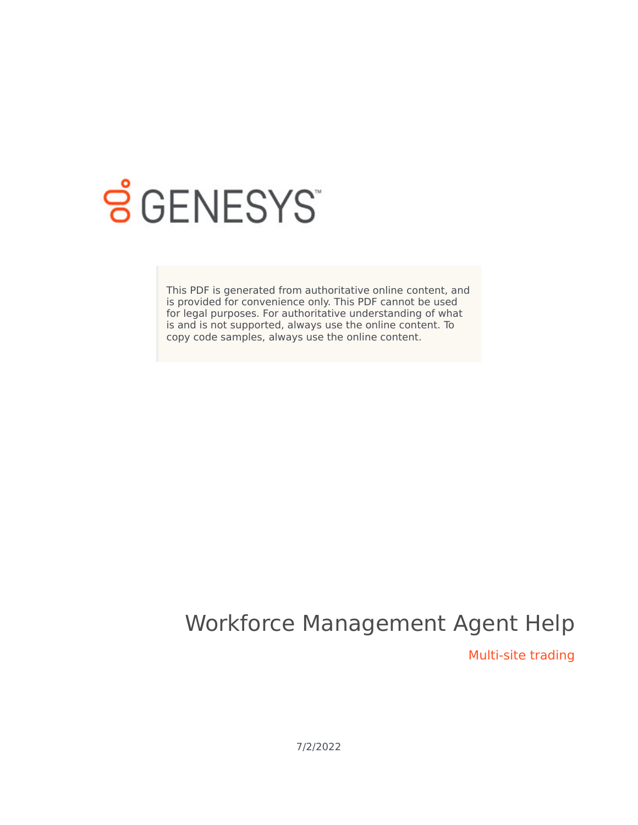

# **SGENESYS**

This PDF is generated from authoritative online content, and is provided for convenience only. This PDF cannot be used for legal purposes. For authoritative understanding of what is and is not supported, always use the online content. To copy code samples, always use the online content.

## Workforce Management Agent Help

Multi-site trading

7/2/2022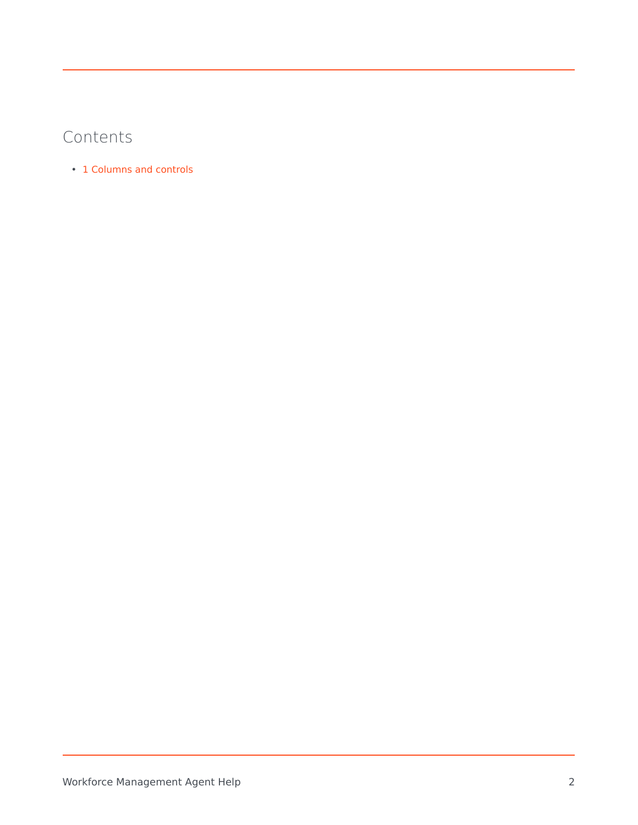### Contents

• 1 [Columns and controls](#page-3-0)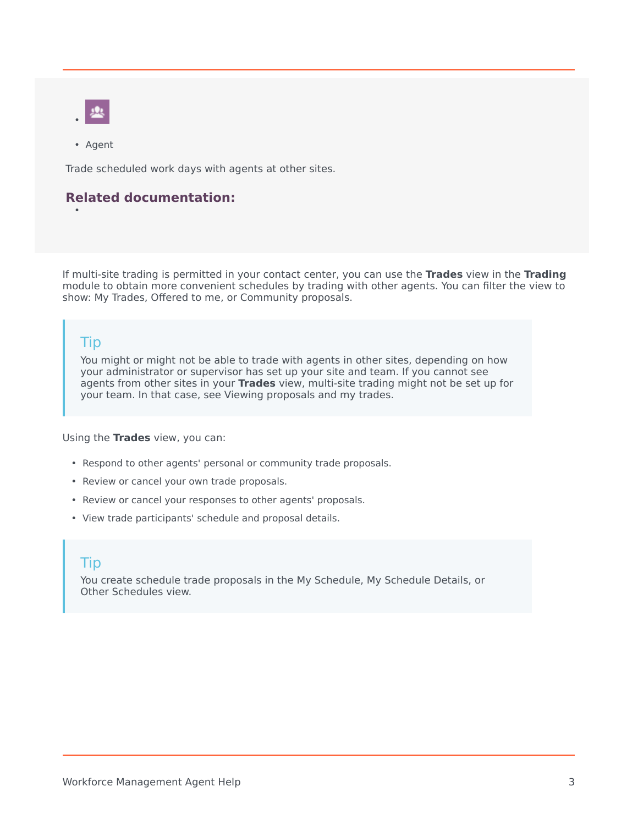

• Agent

•

Trade scheduled work days with agents at other sites.

#### **Related documentation:**

If multi-site trading is permitted in your contact center, you can use the **Trades** view in the **Trading** module to obtain more convenient schedules by trading with other agents. You can filter the view to show: My Trades, Offered to me, or Community proposals.

#### Tip

You might or might not be able to trade with agents in other sites, depending on how your administrator or supervisor has set up your site and team. If you cannot see agents from other sites in your **Trades** view, multi-site trading might not be set up for your team. In that case, see Viewing proposals and my trades.

Using the **Trades** view, you can:

- Respond to other agents' personal or community trade proposals.
- Review or cancel your own trade proposals.
- Review or cancel your responses to other agents' proposals.
- View trade participants' schedule and proposal details.

#### Tip

You create schedule trade proposals in the My Schedule, My Schedule Details, or Other Schedules view.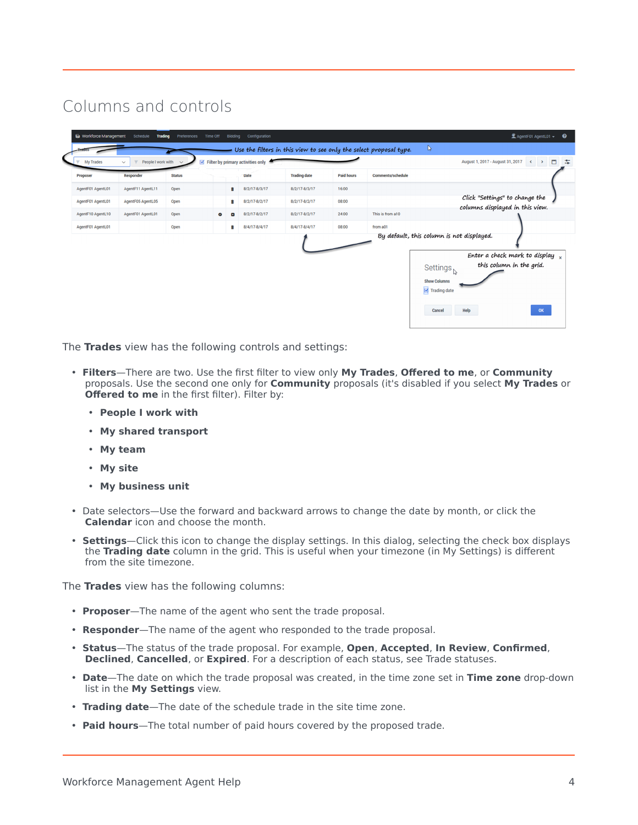## <span id="page-3-0"></span>Columns and controls

| $\leq$ Filter by primary activities only<br>People I work with<br>August 1, 2017 - August 31, 2017<br><b>My Trades</b><br>$\sim$<br>$\checkmark$<br>$\mathcal{F}$<br><b>Paid hours</b><br><b>Trading date</b><br><b>Comments/schedule</b><br><b>Proposer</b><br><b>Responder</b><br><b>Status</b><br><b>Date</b><br>Open<br>8/2/17-8/3/17<br>8/2/17-8/3/17<br>16:00<br>AgentF01 AgentL01<br>AgentF11 AgentL11<br>Ĥ<br>08:00<br>AgentF01 AgentL01<br>AgentF05 AgentL05<br>Open<br>û<br>8/2/17-8/2/17<br>8/2/17-8/2/17<br>columns displayed in this view.<br>8/2/17-8/2/17<br>8/2/17-8/2/17<br>24:00<br>This is from a10<br>AgentF10 AgentL10<br>AgentF01 AgentL01<br>Open<br>$\bullet$<br>Œ.<br>08:00<br>8/4/17-8/4/17<br>8/4/17-8/4/17<br>AgentF01 AgentL01<br>Open<br>from a01<br>û | n<br>$\left\langle \cdot\right\rangle$<br>Click "Settings" to change the |
|--------------------------------------------------------------------------------------------------------------------------------------------------------------------------------------------------------------------------------------------------------------------------------------------------------------------------------------------------------------------------------------------------------------------------------------------------------------------------------------------------------------------------------------------------------------------------------------------------------------------------------------------------------------------------------------------------------------------------------------------------------------------------------------|--------------------------------------------------------------------------|
|                                                                                                                                                                                                                                                                                                                                                                                                                                                                                                                                                                                                                                                                                                                                                                                      |                                                                          |
|                                                                                                                                                                                                                                                                                                                                                                                                                                                                                                                                                                                                                                                                                                                                                                                      |                                                                          |
|                                                                                                                                                                                                                                                                                                                                                                                                                                                                                                                                                                                                                                                                                                                                                                                      |                                                                          |
|                                                                                                                                                                                                                                                                                                                                                                                                                                                                                                                                                                                                                                                                                                                                                                                      |                                                                          |
|                                                                                                                                                                                                                                                                                                                                                                                                                                                                                                                                                                                                                                                                                                                                                                                      |                                                                          |
|                                                                                                                                                                                                                                                                                                                                                                                                                                                                                                                                                                                                                                                                                                                                                                                      |                                                                          |
| By default, this column is not displayed.                                                                                                                                                                                                                                                                                                                                                                                                                                                                                                                                                                                                                                                                                                                                            |                                                                          |
|                                                                                                                                                                                                                                                                                                                                                                                                                                                                                                                                                                                                                                                                                                                                                                                      | Enter a check mark to display $\frac{1}{x}$                              |
| Settings <sub>N</sub>                                                                                                                                                                                                                                                                                                                                                                                                                                                                                                                                                                                                                                                                                                                                                                | this column in the grid.                                                 |
|                                                                                                                                                                                                                                                                                                                                                                                                                                                                                                                                                                                                                                                                                                                                                                                      |                                                                          |
| <b>Show Columns</b>                                                                                                                                                                                                                                                                                                                                                                                                                                                                                                                                                                                                                                                                                                                                                                  |                                                                          |
| Trading date                                                                                                                                                                                                                                                                                                                                                                                                                                                                                                                                                                                                                                                                                                                                                                         |                                                                          |

The **Trades** view has the following controls and settings:

- **Filters**—There are two. Use the first filter to view only **My Trades**, **Offered to me**, or **Community** proposals. Use the second one only for **Community** proposals (it's disabled if you select **My Trades** or **Offered to me** in the first filter). Filter by:
	- **People I work with**
	- **My shared transport**
	- **My team**
	- **My site**
	- **My business unit**
- Date selectors—Use the forward and backward arrows to change the date by month, or click the **Calendar** icon and choose the month.
- **Settings**—Click this icon to change the display settings. In this dialog, selecting the check box displays the **Trading date** column in the grid. This is useful when your timezone (in My Settings) is different from the site timezone.

The **Trades** view has the following columns:

- **Proposer**—The name of the agent who sent the trade proposal.
- **Responder**—The name of the agent who responded to the trade proposal.
- **Status**—The status of the trade proposal. For example, **Open**, **Accepted**, **In Review**, **Confirmed**, **Declined**, **Cancelled**, or **Expired**. For a description of each status, see Trade statuses.
- **Date**—The date on which the trade proposal was created, in the time zone set in **Time zone** drop-down list in the **My Settings** view.
- **Trading date**—The date of the schedule trade in the site time zone.
- **Paid hours**—The total number of paid hours covered by the proposed trade.